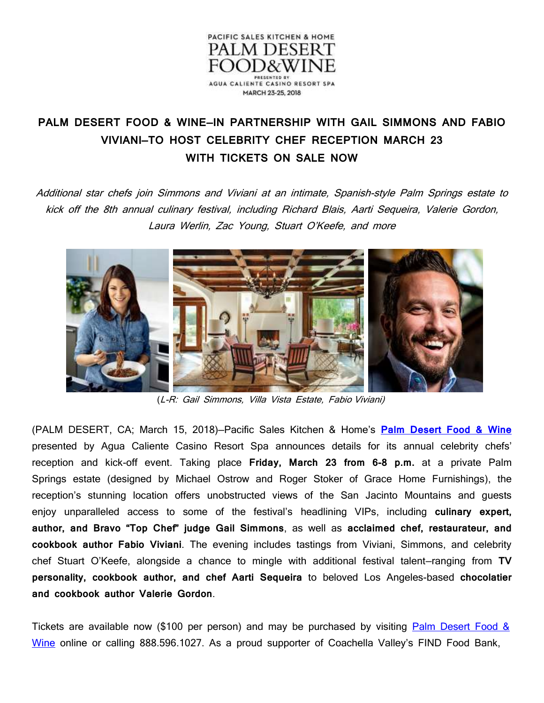

## **PALM DESERT FOOD & WINE—IN PARTNERSHIP WITH GAIL SIMMONS AND FABIO VIVIANI—TO HOST CELEBRITY CHEF RECEPTION MARCH 23 WITH TICKETS ON SALE NOW**

Additional star chefs join Simmons and Viviani at an intimate, Spanish-style Palm Springs estate to kick off the 8th annual culinary festival, including Richard Blais, Aarti Sequeira, Valerie Gordon, Laura Werlin, Zac Young, Stuart O'Keefe, and more



(L-R: Gail Simmons, Villa Vista Estate, Fabio Viviani)

(PALM DESERT, CA; March 15, 2018)—Pacific Sales Kitchen & Home's **[Palm Desert Food & Wine](http://www.palmdesertfoodandwine.com/)** presented by Agua Caliente Casino Resort Spa announces details for its annual celebrity chefs' reception and kick-off event. Taking place **Friday, March 23 from 6-8 p.m.** at a private Palm Springs estate (designed by Michael Ostrow and Roger Stoker of Grace Home Furnishings), the reception's stunning location offers unobstructed views of the San Jacinto Mountains and guests enjoy unparalleled access to some of the festival's headlining VIPs, including **culinary expert, author, and Bravo "Top Chef" judge Gail Simmons**, as well as **acclaimed chef, restaurateur, and cookbook author Fabio Viviani**. The evening includes tastings from Viviani, Simmons, and celebrity chef Stuart O'Keefe, alongside a chance to mingle with additional festival talent—ranging from **TV personality, cookbook author, and chef Aarti Sequeira** to beloved Los Angeles-based **chocolatier and cookbook author Valerie Gordon**.

Tickets are available now (\$100 per person) and may be purchased by visiting  $Palm Desert Food &$ [Wine](https://tickets.vendini.com/ticket-software.html?e=045b7d23165c9bdb3a02511c2e99fc7f&t=tix&vqitq=a6d74dc6-7ad3-4a2a-8ae2-4eea8b3a9155&vqitp=4cc96d69-9e9a-4483-a9f8-d89a8994e883&vqitts=1520980514&vqitc=vendini&vqite=itl&vqitrt=Safetynet&vqith=1602f23400bbf667ba99d58723026eb8) online or calling 888.596.1027. As a proud supporter of Coachella Valley's FIND Food Bank,